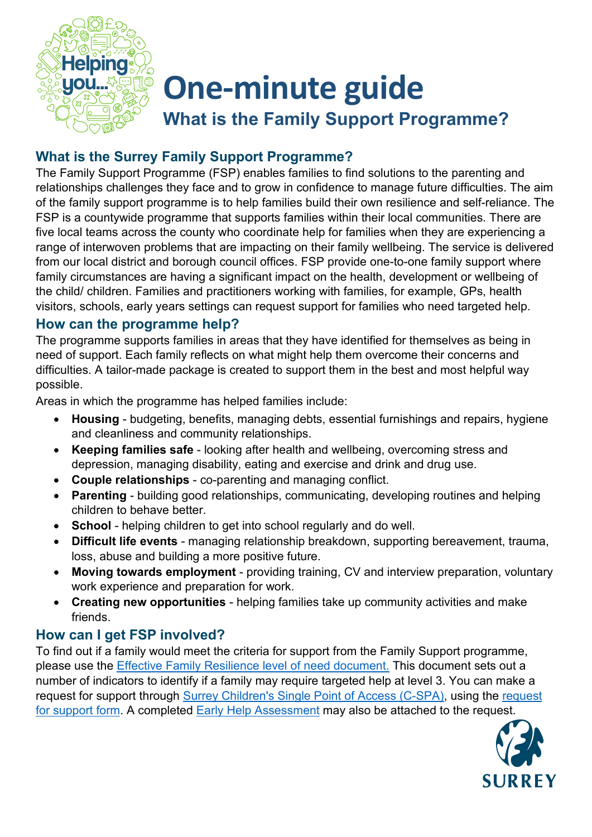

# **One-minute guide What is the Family Support Programme?**

# **What is the Surrey Family Support Programme?**

The Family Support Programme (FSP) enables families to find solutions to the parenting and relationships challenges they face and to grow in confidence to manage future difficulties. The aim of the family support programme is to help families build their own resilience and self-reliance. The FSP is a countywide programme that supports families within their local communities. There are five local teams across the county who coordinate help for families when they are experiencing a range of interwoven problems that are impacting on their family wellbeing. The service is delivered from our local district and borough council offices. FSP provide one-to-one family support where family circumstances are having a significant impact on the health, development or wellbeing of the child/ children. Families and practitioners working with families, for example, GPs, health visitors, schools, early years settings can request support for families who need targeted help.

### **How can the programme help?**

The programme supports families in areas that they have identified for themselves as being in need of support. Each family reflects on what might help them overcome their concerns and difficulties. A tailor-made package is created to support them in the best and most helpful way possible.

Areas in which the programme has helped families include:

- **Housing** budgeting, benefits, managing debts, essential furnishings and repairs, hygiene and cleanliness and community relationships.
- **Keeping families safe** looking after health and wellbeing, overcoming stress and depression, managing disability, eating and exercise and drink and drug use.
- **Couple relationships** co-parenting and managing conflict.
- **Parenting** building good relationships, communicating, developing routines and helping children to behave better.
- **School** helping children to get into school regularly and do well.
- **Difficult life events** managing relationship breakdown, supporting bereavement, trauma, loss, abuse and building a more positive future.
- **Moving towards employment** providing training, CV and interview preparation, voluntary work experience and preparation for work.
- **Creating new opportunities** helping families take up community activities and make friends.

## **How can I get FSP involved?**

To find out if a family would meet the criteria for support from the Family Support programme, please use the [Effective Family Resilience level of need document.](https://www.surreyscp.org.uk/wp-content/uploads/2021/04/Effective-family-resilience-SSCP-Dec-2020-v7-1.pdf) This document sets out a number of indicators to identify if a family may require targeted help at level 3. You can make a request for support through [Surrey Children's Single Point of Access \(C-SPA\),](https://www.surreycc.gov.uk/social-care-and-health/childrens-social-care/contact-childrens-services) using the [request](https://www.surreyscp.org.uk/wp-content/uploads/2021/04/Surrey-Childrens-Services-Support-Request-Form-April-2020-Revised-1.doc)  [for support form.](https://www.surreyscp.org.uk/wp-content/uploads/2021/04/Surrey-Childrens-Services-Support-Request-Form-April-2020-Revised-1.doc) A completed **Early Help Assessment** may also be attached to the request.